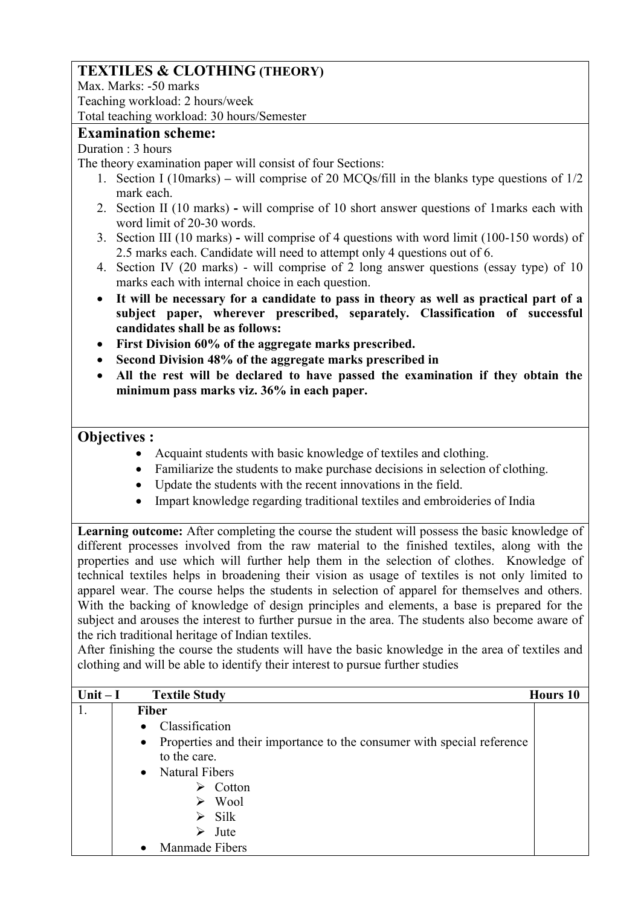# **TEXTILES & CLOTHING (THEORY)**

Max. Marks: -50 marks Teaching workload: 2 hours/week Total teaching workload: 30 hours/Semester

## **Examination scheme:**

#### Duration : 3 hours

The theory examination paper will consist of four Sections:

- 1. Section I (10marks) **–** will comprise of 20 MCQs/fill in the blanks type questions of 1/2 mark each.
- 2. Section II (10 marks) **-** will comprise of 10 short answer questions of 1marks each with word limit of 20-30 words.
- 3. Section III (10 marks) **-** will comprise of 4 questions with word limit (100-150 words) of 2.5 marks each. Candidate will need to attempt only 4 questions out of 6.
- 4. Section IV (20 marks) will comprise of 2 long answer questions (essay type) of 10 marks each with internal choice in each question.
- **It will be necessary for a candidate to pass in theory as well as practical part of a subject paper, wherever prescribed, separately. Classification of successful candidates shall be as follows:**
- **First Division 60% of the aggregate marks prescribed.**
- **Second Division 48% of the aggregate marks prescribed in**
- **All the rest will be declared to have passed the examination if they obtain the minimum pass marks viz. 36% in each paper.**

## **Objectives :**

- Acquaint students with basic knowledge of textiles and clothing.
- Familiarize the students to make purchase decisions in selection of clothing.
- Update the students with the recent innovations in the field.
- Impart knowledge regarding traditional textiles and embroideries of India

Learning outcome: After completing the course the student will possess the basic knowledge of different processes involved from the raw material to the finished textiles, along with the properties and use which will further help them in the selection of clothes. Knowledge of technical textiles helps in broadening their vision as usage of textiles is not only limited to apparel wear. The course helps the students in selection of apparel for themselves and others. With the backing of knowledge of design principles and elements, a base is prepared for the subject and arouses the interest to further pursue in the area. The students also become aware of the rich traditional heritage of Indian textiles.

After finishing the course the students will have the basic knowledge in the area of textiles and clothing and will be able to identify their interest to pursue further studies

| Unit $-I$ |           | <b>Textile Study</b>                                                   | Hours 10 |
|-----------|-----------|------------------------------------------------------------------------|----------|
| 1.        |           | <b>Fiber</b>                                                           |          |
|           | $\bullet$ | Classification                                                         |          |
|           | $\bullet$ | Properties and their importance to the consumer with special reference |          |
|           |           | to the care.                                                           |          |
|           | $\bullet$ | <b>Natural Fibers</b>                                                  |          |
|           |           | Cotton<br>⋗                                                            |          |
|           |           | Wool<br>➤                                                              |          |
|           |           | $\triangleright$ Silk                                                  |          |
|           |           | Jute<br>⋗                                                              |          |
|           |           | Manmade Fibers                                                         |          |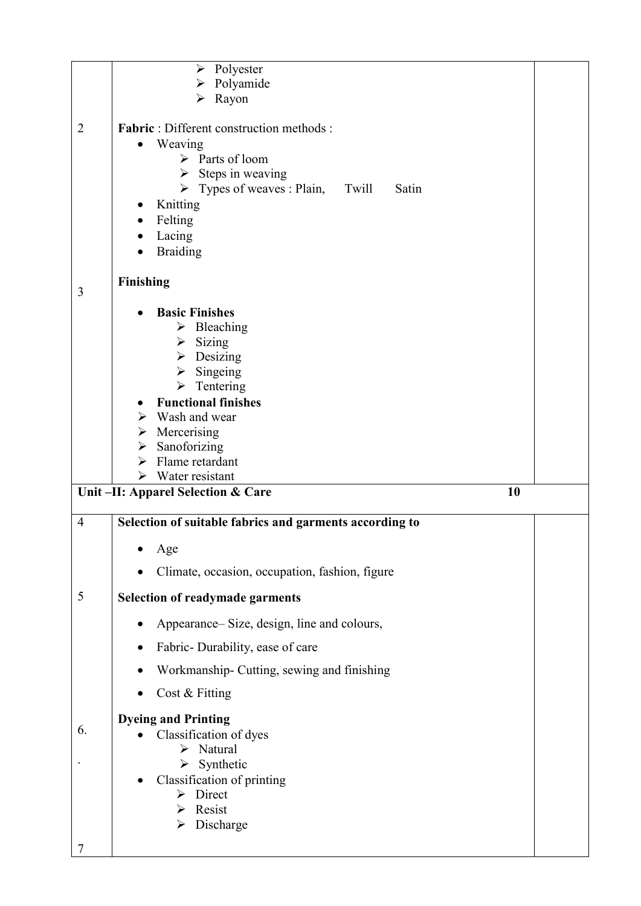|                | Polyester<br>➤                                           |  |
|----------------|----------------------------------------------------------|--|
|                | Polyamide<br>➤                                           |  |
|                | Rayon<br>➤                                               |  |
| $\overline{2}$ | <b>Fabric</b> : Different construction methods:          |  |
|                | Weaving<br>$\bullet$                                     |  |
|                | $\triangleright$ Parts of loom                           |  |
|                | $\triangleright$ Steps in weaving                        |  |
|                | $\triangleright$ Types of weaves : Plain, Twill<br>Satin |  |
|                | Knitting                                                 |  |
|                | Felting                                                  |  |
|                | Lacing                                                   |  |
|                | <b>Braiding</b>                                          |  |
|                | <b>Finishing</b>                                         |  |
| 3              |                                                          |  |
|                | <b>Basic Finishes</b>                                    |  |
|                | $\triangleright$ Bleaching                               |  |
|                | Sizing<br>≻                                              |  |
|                | $\triangleright$ Desizing                                |  |
|                | Singeing<br>$\blacktriangleright$                        |  |
|                | $\triangleright$ Tentering<br><b>Functional finishes</b> |  |
|                | Wash and wear<br>➤                                       |  |
|                | Mercerising<br>➤                                         |  |
|                | Sanoforizing<br>➤                                        |  |
|                | Flame retardant<br>≻                                     |  |
|                | $\triangleright$ Water resistant                         |  |
|                | 10<br>Unit-II: Apparel Selection & Care                  |  |
| $\overline{4}$ | Selection of suitable fabrics and garments according to  |  |
|                |                                                          |  |
|                |                                                          |  |
|                | Age                                                      |  |
|                | Climate, occasion, occupation, fashion, figure           |  |
| 5              | <b>Selection of readymade garments</b>                   |  |
|                | Appearance– Size, design, line and colours,              |  |
|                | Fabric-Durability, ease of care                          |  |
|                | Workmanship- Cutting, sewing and finishing               |  |
|                | Cost & Fitting                                           |  |
|                |                                                          |  |
| 6.             | <b>Dyeing and Printing</b>                               |  |
|                | Classification of dyes<br>Natural<br>➤                   |  |
|                | $\triangleright$ Synthetic                               |  |
|                | Classification of printing                               |  |
|                | $\triangleright$ Direct                                  |  |
|                | $\triangleright$ Resist                                  |  |
|                | $\triangleright$ Discharge                               |  |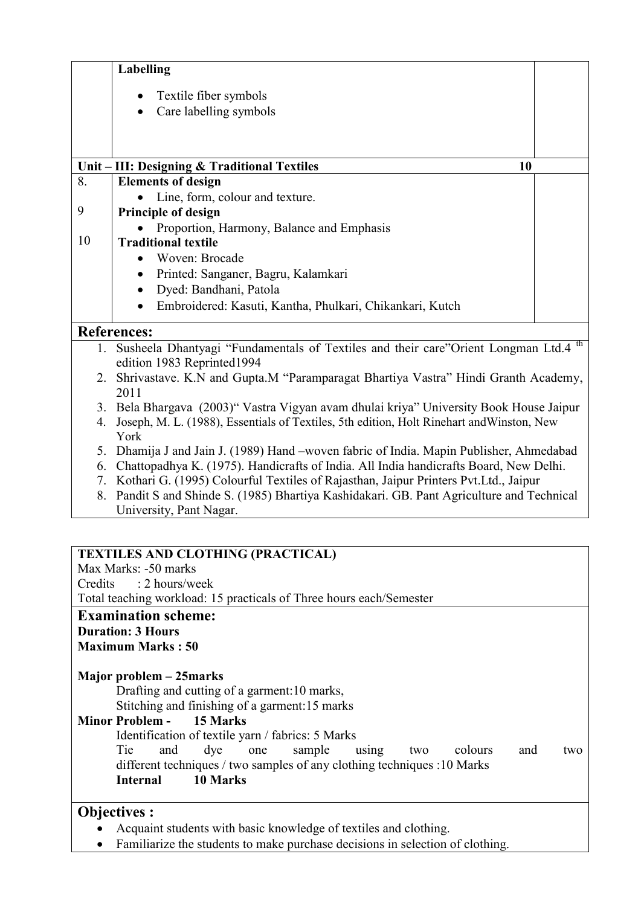|    | <b>Labelling</b>                                                                                                             |  |
|----|------------------------------------------------------------------------------------------------------------------------------|--|
|    | Textile fiber symbols<br>$\bullet$                                                                                           |  |
|    | Care labelling symbols                                                                                                       |  |
|    |                                                                                                                              |  |
|    |                                                                                                                              |  |
|    | Unit - III: Designing & Traditional Textiles<br>10                                                                           |  |
| 8. | <b>Elements of design</b>                                                                                                    |  |
|    | Line, form, colour and texture.                                                                                              |  |
| 9  | Principle of design                                                                                                          |  |
|    | Proportion, Harmony, Balance and Emphasis                                                                                    |  |
| 10 | <b>Traditional textile</b>                                                                                                   |  |
|    | Woven: Brocade                                                                                                               |  |
|    | Printed: Sanganer, Bagru, Kalamkari<br>$\bullet$                                                                             |  |
|    | Dyed: Bandhani, Patola<br>$\bullet$                                                                                          |  |
|    | Embroidered: Kasuti, Kantha, Phulkari, Chikankari, Kutch<br>$\bullet$                                                        |  |
|    | <b>References:</b>                                                                                                           |  |
| 1. | Susheela Dhantyagi "Fundamentals of Textiles and their care"Orient Longman Ltd.4 <sup>th</sup><br>edition 1983 Reprinted1994 |  |
|    | 2. Shrivastave. K.N and Gupta.M "Paramparagat Bhartiya Vastra" Hindi Granth Academy,                                         |  |
|    | 2011                                                                                                                         |  |
|    | 3. Bela Bhargava (2003)" Vastra Vigyan avam dhulai kriya" University Book House Jaipur                                       |  |
| 4. | Joseph, M. L. (1988), Essentials of Textiles, 5th edition, Holt Rinehart and Winston, New                                    |  |
|    | York                                                                                                                         |  |
| 5. | Dhamija J and Jain J. (1989) Hand -woven fabric of India. Mapin Publisher, Ahmedabad                                         |  |
| 6. | Chattopadhya K. (1975). Handicrafts of India. All India handicrafts Board, New Delhi.                                        |  |
| 7. | Kothari G. (1995) Colourful Textiles of Rajasthan, Jaipur Printers Pvt.Ltd., Jaipur                                          |  |
| 8. | Pandit S and Shinde S. (1985) Bhartiya Kashidakari. GB. Pant Agriculture and Technical                                       |  |
|    | University, Pant Nagar.                                                                                                      |  |

| <b>TEXTILES AND CLOTHING (PRACTICAL)</b>                                      |
|-------------------------------------------------------------------------------|
| Max Marks: -50 marks                                                          |
| Credits : 2 hours/week                                                        |
| Total teaching workload: 15 practicals of Three hours each/Semester           |
| <b>Examination scheme:</b>                                                    |
| <b>Duration: 3 Hours</b>                                                      |
| <b>Maximum Marks: 50</b>                                                      |
|                                                                               |
| Major problem – 25 marks                                                      |
| Drafting and cutting of a garment: 10 marks,                                  |
| Stitching and finishing of a garment:15 marks                                 |
| <b>Minor Problem - 15 Marks</b>                                               |
| Identification of textile yarn / fabrics: 5 Marks                             |
| Tie<br>dye one<br>and<br>sample<br>two colours<br>using<br>and<br>two         |
| different techniques / two samples of any clothing techniques : 10 Marks      |
| 10 Marks<br><b>Internal</b>                                                   |
|                                                                               |
| <b>Objectives:</b>                                                            |
| Acquaint students with basic knowledge of textiles and clothing.              |
| Familiarize the students to make purchase decisions in selection of clothing. |